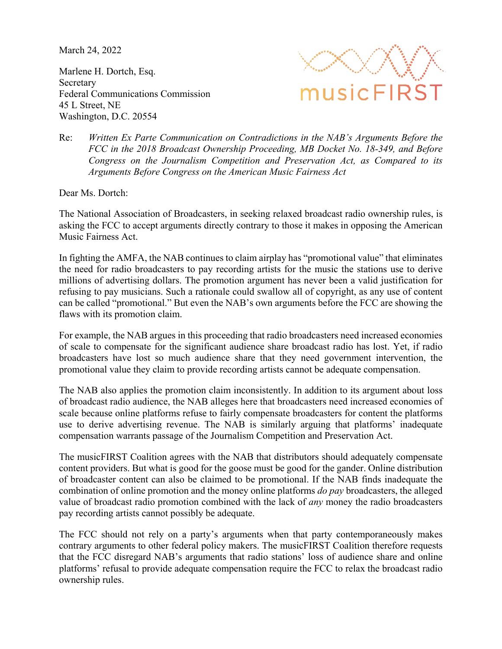March 24, 2022

Marlene H. Dortch, Esq. Secretary Federal Communications Commission 45 L Street, NE Washington, D.C. 20554



Re: *Written Ex Parte Communication on Contradictions in the NAB's Arguments Before the FCC in the 2018 Broadcast Ownership Proceeding, MB Docket No. 18-349, and Before Congress on the Journalism Competition and Preservation Act, as Compared to its Arguments Before Congress on the American Music Fairness Act*

Dear Ms. Dortch:

The National Association of Broadcasters, in seeking relaxed broadcast radio ownership rules, is asking the FCC to accept arguments directly contrary to those it makes in opposing the American Music Fairness Act.

In fighting the AMFA, the NAB continues to claim airplay has "promotional value" that eliminates the need for radio broadcasters to pay recording artists for the music the stations use to derive millions of advertising dollars. The promotion argument has never been a valid justification for refusing to pay musicians. Such a rationale could swallow all of copyright, as any use of content can be called "promotional." But even the NAB's own arguments before the FCC are showing the flaws with its promotion claim.

For example, the NAB argues in this proceeding that radio broadcasters need increased economies of scale to compensate for the significant audience share broadcast radio has lost. Yet, if radio broadcasters have lost so much audience share that they need government intervention, the promotional value they claim to provide recording artists cannot be adequate compensation.

The NAB also applies the promotion claim inconsistently. In addition to its argument about loss of broadcast radio audience, the NAB alleges here that broadcasters need increased economies of scale because online platforms refuse to fairly compensate broadcasters for content the platforms use to derive advertising revenue. The NAB is similarly arguing that platforms' inadequate compensation warrants passage of the Journalism Competition and Preservation Act.

The musicFIRST Coalition agrees with the NAB that distributors should adequately compensate content providers. But what is good for the goose must be good for the gander. Online distribution of broadcaster content can also be claimed to be promotional. If the NAB finds inadequate the combination of online promotion and the money online platforms *do pay* broadcasters, the alleged value of broadcast radio promotion combined with the lack of *any* money the radio broadcasters pay recording artists cannot possibly be adequate.

The FCC should not rely on a party's arguments when that party contemporaneously makes contrary arguments to other federal policy makers. The musicFIRST Coalition therefore requests that the FCC disregard NAB's arguments that radio stations' loss of audience share and online platforms' refusal to provide adequate compensation require the FCC to relax the broadcast radio ownership rules.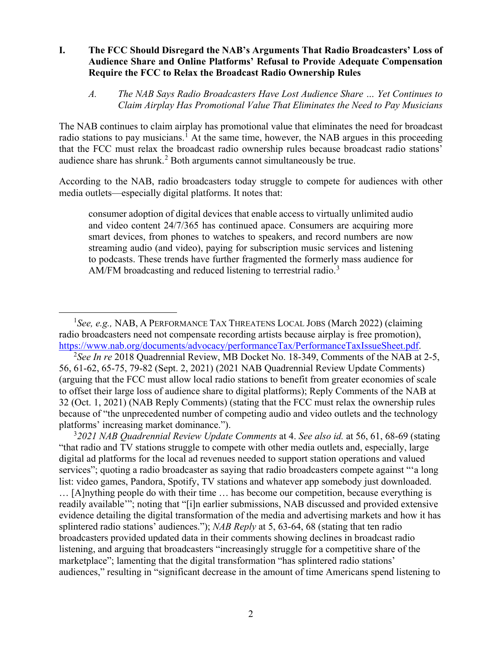## **I. The FCC Should Disregard the NAB's Arguments That Radio Broadcasters' Loss of Audience Share and Online Platforms' Refusal to Provide Adequate Compensation Require the FCC to Relax the Broadcast Radio Ownership Rules**

<span id="page-1-3"></span>*A. The NAB Says Radio Broadcasters Have Lost Audience Share … Yet Continues to Claim Airplay Has Promotional Value That Eliminates the Need to Pay Musicians* 

The NAB continues to claim airplay has promotional value that eliminates the need for broadcast radio stations to pay musicians.<sup>[1](#page-1-0)</sup> At the same time, however, the NAB argues in this proceeding that the FCC must relax the broadcast radio ownership rules because broadcast radio stations' audience share has shrunk.<sup>[2](#page-1-1)</sup> Both arguments cannot simultaneously be true.

According to the NAB, radio broadcasters today struggle to compete for audiences with other media outlets—especially digital platforms. It notes that:

consumer adoption of digital devices that enable access to virtually unlimited audio and video content 24/7/365 has continued apace. Consumers are acquiring more smart devices, from phones to watches to speakers, and record numbers are now streaming audio (and video), paying for subscription music services and listening to podcasts. These trends have further fragmented the formerly mass audience for AM/FM broadcasting and reduced listening to terrestrial radio.<sup>[3](#page-1-2)</sup>

<span id="page-1-2"></span>3 *2021 NAB Quadrennial Review Update Comments* at 4. *See also id.* at 56, 61, 68-69 (stating "that radio and TV stations struggle to compete with other media outlets and, especially, large digital ad platforms for the local ad revenues needed to support station operations and valued services"; quoting a radio broadcaster as saying that radio broadcasters compete against "'a long" list: video games, Pandora, Spotify, TV stations and whatever app somebody just downloaded. … [A]nything people do with their time … has become our competition, because everything is readily available'"; noting that "[i]n earlier submissions, NAB discussed and provided extensive evidence detailing the digital transformation of the media and advertising markets and how it has splintered radio stations' audiences."); *NAB Reply* at 5, 63-64, 68 (stating that ten radio broadcasters provided updated data in their comments showing declines in broadcast radio listening, and arguing that broadcasters "increasingly struggle for a competitive share of the marketplace"; lamenting that the digital transformation "has splintered radio stations' audiences," resulting in "significant decrease in the amount of time Americans spend listening to

<span id="page-1-0"></span> $\overline{\phantom{0}}$ <sub>1</sub> <sup>1</sup>See, e.g., NAB, A PERFORMANCE TAX THREATENS LOCAL JOBS (March 2022) (claiming radio broadcasters need not compensate recording artists because airplay is free promotion), [https://www.nab.org/documents/advocacy/performanceTax/PerformanceTaxIssueSheet.pdf.](https://www.nab.org/documents/advocacy/performanceTax/PerformanceTaxIssueSheet.pdf) 2

<span id="page-1-1"></span>*See In re* 2018 Quadrennial Review, MB Docket No. 18-349, Comments of the NAB at 2-5, 56, 61-62, 65-75, 79-82 (Sept. 2, 2021) (2021 NAB Quadrennial Review Update Comments) (arguing that the FCC must allow local radio stations to benefit from greater economies of scale to offset their large loss of audience share to digital platforms); Reply Comments of the NAB at 32 (Oct. 1, 2021) (NAB Reply Comments) (stating that the FCC must relax the ownership rules because of "the unprecedented number of competing audio and video outlets and the technology platforms' increasing market dominance.").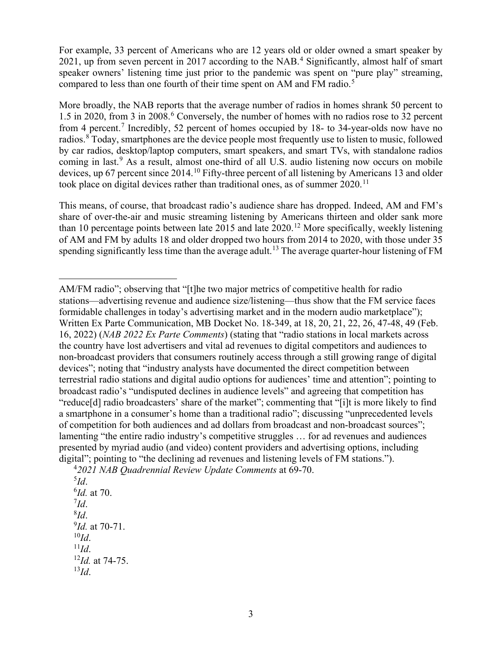For example, 33 percent of Americans who are 12 years old or older owned a smart speaker by 2021, up from seven percent in 2017 according to the NAB.<sup>[4](#page-2-0)</sup> Significantly, almost half of smart speaker owners' listening time just prior to the pandemic was spent on "pure play" streaming, compared to less than one fourth of their time spent on AM and FM radio.<sup>[5](#page-2-1)</sup>

More broadly, the NAB reports that the average number of radios in homes shrank 50 percent to 1.5 in 2020, from 3 in 2008. [6](#page-2-2) Conversely, the number of homes with no radios rose to 32 percent from 4 percent.[7](#page-2-3) Incredibly, 52 percent of homes occupied by 18- to 34-year-olds now have no radios.<sup>[8](#page-2-4)</sup> Today, smartphones are the device people most frequently use to listen to music, followed by car radios, desktop/laptop computers, smart speakers, and smart TVs, with standalone radios coming in last.<sup>[9](#page-2-5)</sup> As a result, almost one-third of all U.S. audio listening now occurs on mobile devices, up 67 percent since 2014.<sup>[10](#page-2-6)</sup> Fifty-three percent of all listening by Americans 13 and older took place on digital devices rather than traditional ones, as of summer 2020.<sup>[11](#page-2-7)</sup>

This means, of course, that broadcast radio's audience share has dropped. Indeed, AM and FM's share of over-the-air and music streaming listening by Americans thirteen and older sank more than 10 percentage points between late 2015 and late  $2020$ .<sup>[12](#page-2-8)</sup> More specifically, weekly listening of AM and FM by adults 18 and older dropped two hours from 2014 to 2020, with those under 35 spending significantly less time than the average adult.<sup>[13](#page-3-0)</sup> The average quarter-hour listening of FM

<span id="page-2-8"></span><span id="page-2-7"></span><span id="page-2-6"></span><span id="page-2-5"></span><span id="page-2-4"></span><span id="page-2-3"></span><span id="page-2-2"></span><span id="page-2-1"></span>5 *Id*. 6 *Id.* at 70. 7 *Id*. 8  $^{8}$ *Id*. *Id.* at 70-71. <sup>10</sup>*Id*. 11*Id*. 12*Id.* at 74-75. <sup>13</sup>*Id*.

 $\overline{a}$ AM/FM radio"; observing that "[t]he two major metrics of competitive health for radio stations—advertising revenue and audience size/listening—thus show that the FM service faces formidable challenges in today's advertising market and in the modern audio marketplace"); Written Ex Parte Communication, MB Docket No. 18-349, at 18, 20, 21, 22, 26, 47-48, 49 (Feb. 16, 2022) (*NAB 2022 Ex Parte Comments*) (stating that "radio stations in local markets across the country have lost advertisers and vital ad revenues to digital competitors and audiences to non-broadcast providers that consumers routinely access through a still growing range of digital devices"; noting that "industry analysts have documented the direct competition between terrestrial radio stations and digital audio options for audiences' time and attention"; pointing to broadcast radio's "undisputed declines in audience levels" and agreeing that competition has "reduce[d] radio broadcasters' share of the market"; commenting that "[i]t is more likely to find a smartphone in a consumer's home than a traditional radio"; discussing "unprecedented levels of competition for both audiences and ad dollars from broadcast and non-broadcast sources"; lamenting "the entire radio industry's competitive struggles … for ad revenues and audiences presented by myriad audio (and video) content providers and advertising options, including digital"; pointing to "the declining ad revenues and listening levels of FM stations.").

<span id="page-2-0"></span><sup>4</sup> *2021 NAB Quadrennial Review Update Comments* at 69-70.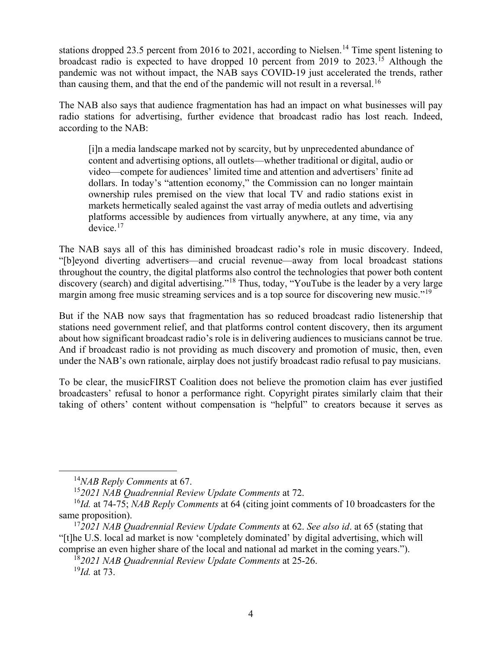stations dropped 23.5 percent from 2016 to 2021, according to Nielsen.<sup>14</sup> Time spent listening to broadcast radio is expected to have dropped 10 percent from 2019 to 2023.<sup>[15](#page-3-2)</sup> Although the pandemic was not without impact, the NAB says COVID-19 just accelerated the trends, rather than causing them, and that the end of the pandemic will not result in a reversal.<sup>[16](#page-3-3)</sup>

The NAB also says that audience fragmentation has had an impact on what businesses will pay radio stations for advertising, further evidence that broadcast radio has lost reach. Indeed, according to the NAB:

[i]n a media landscape marked not by scarcity, but by unprecedented abundance of content and advertising options, all outlets—whether traditional or digital, audio or video—compete for audiences' limited time and attention and advertisers' finite ad dollars. In today's "attention economy," the Commission can no longer maintain ownership rules premised on the view that local TV and radio stations exist in markets hermetically sealed against the vast array of media outlets and advertising platforms accessible by audiences from virtually anywhere, at any time, via any  $device.<sup>17</sup>$  $device.<sup>17</sup>$  $device.<sup>17</sup>$ 

The NAB says all of this has diminished broadcast radio's role in music discovery. Indeed, "[b]eyond diverting advertisers—and crucial revenue—away from local broadcast stations throughout the country, the digital platforms also control the technologies that power both content discovery (search) and digital advertising."<sup>[18](#page-3-5)</sup> Thus, today, "YouTube is the leader by a very large margin among free music streaming services and is a top source for discovering new music."<sup>[19](#page-3-6)</sup>

But if the NAB now says that fragmentation has so reduced broadcast radio listenership that stations need government relief, and that platforms control content discovery, then its argument about how significant broadcast radio's role is in delivering audiences to musicians cannot be true. And if broadcast radio is not providing as much discovery and promotion of music, then, even under the NAB's own rationale, airplay does not justify broadcast radio refusal to pay musicians.

To be clear, the musicFIRST Coalition does not believe the promotion claim has ever justified broadcasters' refusal to honor a performance right. Copyright pirates similarly claim that their taking of others' content without compensation is "helpful" to creators because it serves as

 <sup>14</sup>*NAB Reply Comments* at 67.

<sup>15</sup>*2021 NAB Quadrennial Review Update Comments* at 72.

<span id="page-3-3"></span><span id="page-3-2"></span><span id="page-3-1"></span><span id="page-3-0"></span><sup>16</sup>*Id.* at 74-75; *NAB Reply Comments* at 64 (citing joint comments of 10 broadcasters for the same proposition).

<span id="page-3-6"></span><span id="page-3-5"></span><span id="page-3-4"></span><sup>17</sup>*2021 NAB Quadrennial Review Update Comments* at 62. *See also id*. at 65 (stating that "[t]he U.S. local ad market is now 'completely dominated' by digital advertising, which will comprise an even higher share of the local and national ad market in the coming years.").

<sup>18</sup>*2021 NAB Quadrennial Review Update Comments* at 25-26.

<sup>19</sup>*Id.* at 73.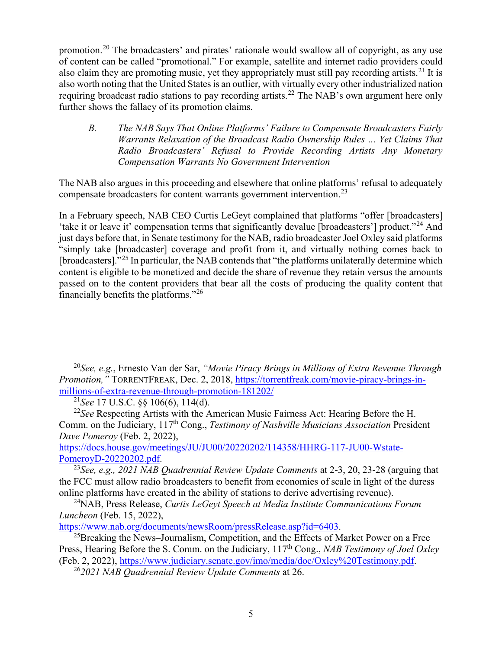promotion.[20](#page-4-0) The broadcasters' and pirates' rationale would swallow all of copyright, as any use of content can be called "promotional." For example, satellite and internet radio providers could also claim they are promoting music, yet they appropriately must still pay recording artists.<sup>[21](#page-4-1)</sup> It is also worth noting that the United States is an outlier, with virtually every other industrialized nation requiring broadcast radio stations to pay recording artists.<sup>[22](#page-4-2)</sup> The NAB's own argument here only further shows the fallacy of its promotion claims.

*B. The NAB Says That Online Platforms' Failure to Compensate Broadcasters Fairly Warrants Relaxation of the Broadcast Radio Ownership Rules … Yet Claims That Radio Broadcasters' Refusal to Provide Recording Artists Any Monetary Compensation Warrants No Government Intervention* 

The NAB also argues in this proceeding and elsewhere that online platforms' refusal to adequately compensate broadcasters for content warrants government intervention.[23](#page-4-3)

<span id="page-4-7"></span>In a February speech, NAB CEO Curtis LeGeyt complained that platforms "offer [broadcasters] 'take it or leave it' compensation terms that significantly devalue [broadcasters'] product."[24](#page-4-4) And just days before that, in Senate testimony for the NAB, radio broadcaster Joel Oxley said platforms "simply take [broadcaster] coverage and profit from it, and virtually nothing comes back to [broadcasters]."<sup>[25](#page-4-5)</sup> In particular, the NAB contends that "the platforms unilaterally determine which content is eligible to be monetized and decide the share of revenue they retain versus the amounts passed on to the content providers that bear all the costs of producing the quality content that financially benefits the platforms."[26](#page-4-6)

[https://docs.house.gov/meetings/JU/JU00/20220202/114358/HHRG-117-JU00-Wstate-](https://docs.house.gov/meetings/JU/JU00/20220202/114358/HHRG-117-JU00-Wstate-PomeroyD-20220202.pdf)[PomeroyD-20220202.pdf.](https://docs.house.gov/meetings/JU/JU00/20220202/114358/HHRG-117-JU00-Wstate-PomeroyD-20220202.pdf) 23*See, e.g., 2021 NAB Quadrennial Review Update Comments* at 2-3, 20, 23-28 (arguing that

<span id="page-4-0"></span> <sup>20</sup>*See, e.g.*, Ernesto Van der Sar, *"Movie Piracy Brings in Millions of Extra Revenue Through Promotion,"* TORRENTFREAK, Dec. 2, 2018, [https://torrentfreak.com/movie-piracy-brings-in](https://torrentfreak.com/movie-piracy-brings-in-millions-of-extra-revenue-through-promotion-181202/)[millions-of-extra-revenue-through-promotion-181202/](https://torrentfreak.com/movie-piracy-brings-in-millions-of-extra-revenue-through-promotion-181202/)

<sup>21</sup>*See* 17 U.S.C. §§ 106(6), 114(d).

<span id="page-4-2"></span><span id="page-4-1"></span><sup>22</sup>*See* Respecting Artists with the American Music Fairness Act: Hearing Before the H. Comm. on the Judiciary, 117th Cong., *Testimony of Nashville Musicians Association* President *Dave Pomeroy* (Feb. 2, 2022),

<span id="page-4-3"></span>the FCC must allow radio broadcasters to benefit from economies of scale in light of the duress online platforms have created in the ability of stations to derive advertising revenue).

<span id="page-4-4"></span><sup>24</sup>NAB, Press Release, *Curtis LeGeyt Speech at Media Institute Communications Forum Luncheon* (Feb. 15, 2022),

<span id="page-4-6"></span><span id="page-4-5"></span>[https://www.nab.org/documents/newsRoom/pressRelease.asp?id=6403.](https://www.nab.org/documents/newsRoom/pressRelease.asp?id=6403)<br><sup>25</sup>Breaking the News–Journalism, Competition, and the Effects of Market Power on a Free Press, Hearing Before the S. Comm. on the Judiciary, 117<sup>th</sup> Cong., *NAB Testimony of Joel Oxley* (Feb. 2, 2022), [https://www.judiciary.senate.gov/imo/media/doc/Oxley%20Testimony.pdf.](https://www.judiciary.senate.gov/imo/media/doc/Oxley%20Testimony.pdf) 26*2021 NAB Quadrennial Review Update Comments* at 26.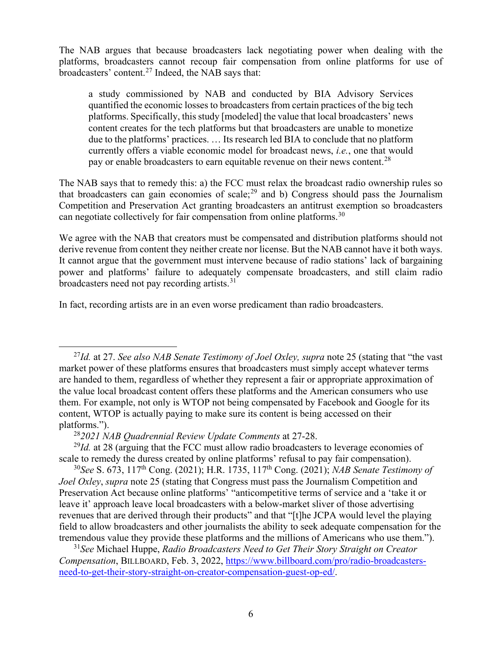The NAB argues that because broadcasters lack negotiating power when dealing with the platforms, broadcasters cannot recoup fair compensation from online platforms for use of broadcasters' content.[27](#page-5-0) Indeed, the NAB says that:

a study commissioned by NAB and conducted by BIA Advisory Services quantified the economic losses to broadcasters from certain practices of the big tech platforms. Specifically, this study [modeled] the value that local broadcasters' news content creates for the tech platforms but that broadcasters are unable to monetize due to the platforms' practices. … Its research led BIA to conclude that no platform currently offers a viable economic model for broadcast news, *i.e.*, one that would pay or enable broadcasters to earn equitable revenue on their news content.<sup>[28](#page-5-1)</sup>

The NAB says that to remedy this: a) the FCC must relax the broadcast radio ownership rules so that broadcasters can gain economies of scale; $^{29}$  $^{29}$  $^{29}$  and b) Congress should pass the Journalism Competition and Preservation Act granting broadcasters an antitrust exemption so broadcasters can negotiate collectively for fair compensation from online platforms.<sup>[30](#page-5-3)</sup>

We agree with the NAB that creators must be compensated and distribution platforms should not derive revenue from content they neither create nor license. But the NAB cannot have it both ways. It cannot argue that the government must intervene because of radio stations' lack of bargaining power and platforms' failure to adequately compensate broadcasters, and still claim radio broadcasters need not pay recording artists.[31](#page-5-4)

In fact, recording artists are in an even worse predicament than radio broadcasters.

<span id="page-5-2"></span><span id="page-5-1"></span><sup>29</sup>*Id.* at 28 (arguing that the FCC must allow radio broadcasters to leverage economies of scale to remedy the duress created by online platforms' refusal to pay fair compensation).

<span id="page-5-3"></span><sup>30</sup>*See* S. 673, 117th Cong. (2021); H.R. 1735, 117th Cong. (2021); *NAB Senate Testimony of Joel Oxley*, *supra* note [25](#page-4-7) (stating that Congress must pass the Journalism Competition and Preservation Act because online platforms' "anticompetitive terms of service and a 'take it or leave it' approach leave local broadcasters with a below-market sliver of those advertising revenues that are derived through their products" and that "[t]he JCPA would level the playing field to allow broadcasters and other journalists the ability to seek adequate compensation for the tremendous value they provide these platforms and the millions of Americans who use them.").

<span id="page-5-4"></span><sup>31</sup>*See* Michael Huppe, *Radio Broadcasters Need to Get Their Story Straight on Creator Compensation*, BILLBOARD, Feb. 3, 2022, [https://www.billboard.com/pro/radio-broadcasters](https://www.billboard.com/pro/radio-broadcasters-need-to-get-their-story-straight-on-creator-compensation-guest-op-ed/)[need-to-get-their-story-straight-on-creator-compensation-guest-op-ed/.](https://www.billboard.com/pro/radio-broadcasters-need-to-get-their-story-straight-on-creator-compensation-guest-op-ed/)

<span id="page-5-0"></span><sup>&</sup>lt;sup>27</sup>*Id.* at 27. *See also NAB Senate Testimony of Joel Oxley, supra* note [25](#page-4-7) (stating that "the vast" market power of these platforms ensures that broadcasters must simply accept whatever terms are handed to them, regardless of whether they represent a fair or appropriate approximation of the value local broadcast content offers these platforms and the American consumers who use them. For example, not only is WTOP not being compensated by Facebook and Google for its content, WTOP is actually paying to make sure its content is being accessed on their platforms.").

<sup>28</sup>*2021 NAB Quadrennial Review Update Comments* at 27-28.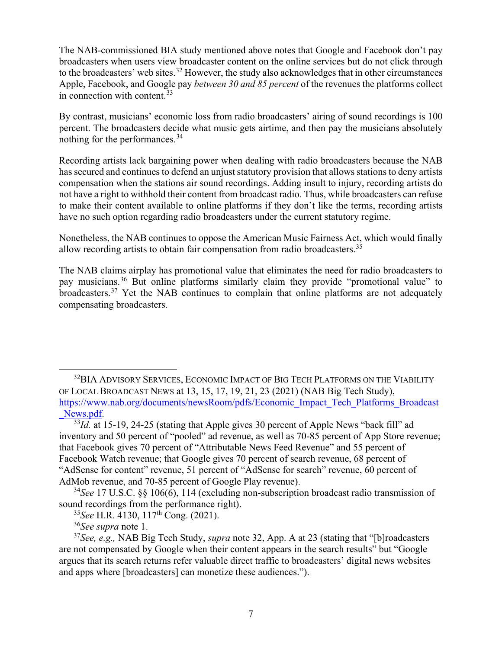<span id="page-6-0"></span>The NAB-commissioned BIA study mentioned above notes that Google and Facebook don't pay broadcasters when users view broadcaster content on the online services but do not click through to the broadcasters' web sites.<sup>[32](#page-6-1)</sup> However, the study also acknowledges that in other circumstances Apple, Facebook, and Google pay *between 30 and 85 percent* of the revenues the platforms collect in connection with content.<sup>[33](#page-6-2)</sup>

By contrast, musicians' economic loss from radio broadcasters' airing of sound recordings is 100 percent. The broadcasters decide what music gets airtime, and then pay the musicians absolutely nothing for the performances.<sup>[34](#page-6-3)</sup>

Recording artists lack bargaining power when dealing with radio broadcasters because the NAB has secured and continues to defend an unjust statutory provision that allows stations to deny artists compensation when the stations air sound recordings. Adding insult to injury, recording artists do not have a right to withhold their content from broadcast radio. Thus, while broadcasters can refuse to make their content available to online platforms if they don't like the terms, recording artists have no such option regarding radio broadcasters under the current statutory regime.

Nonetheless, the NAB continues to oppose the American Music Fairness Act, which would finally allow recording artists to obtain fair compensation from radio broadcasters.<sup>[35](#page-6-4)</sup>

The NAB claims airplay has promotional value that eliminates the need for radio broadcasters to pay musicians.<sup>[36](#page-6-5)</sup> But online platforms similarly claim they provide "promotional value" to broadcasters.[37](#page-6-6) Yet the NAB continues to complain that online platforms are not adequately compensating broadcasters.

<span id="page-6-1"></span><sup>&</sup>lt;sup>32</sup>BIA ADVISORY SERVICES, ECONOMIC IMPACT OF BIG TECH PLATFORMS ON THE VIABILITY OF LOCAL BROADCAST NEWS at 13, 15, 17, 19, 21, 23 (2021) (NAB Big Tech Study), [https://www.nab.org/documents/newsRoom/pdfs/Economic\\_Impact\\_Tech\\_Platforms\\_Broadcast](https://www.nab.org/documents/newsRoom/pdfs/Economic_Impact_Tech_Platforms_Broadcast_News.pdf) News.pdf.<br><sup>33</sup>*Id.* at 15-19, 24-25 (stating that Apple gives 30 percent of Apple News "back fill" ad

<span id="page-6-2"></span>inventory and 50 percent of "pooled" ad revenue, as well as 70-85 percent of App Store revenue; that Facebook gives 70 percent of "Attributable News Feed Revenue" and 55 percent of Facebook Watch revenue; that Google gives 70 percent of search revenue, 68 percent of "AdSense for content" revenue, 51 percent of "AdSense for search" revenue, 60 percent of AdMob revenue, and 70-85 percent of Google Play revenue).

<span id="page-6-3"></span><sup>34</sup>*See* 17 U.S.C. §§ 106(6), 114 (excluding non-subscription broadcast radio transmission of sound recordings from the performance right).

<sup>35</sup>*See* H.R. 4130, 117th Cong. (2021).

<span id="page-6-6"></span><span id="page-6-5"></span><span id="page-6-4"></span><sup>&</sup>lt;sup>36</sup>*See supra* note [1.](#page-1-3)<br><sup>37</sup>*See, e.g.,* NAB Big Tech Study, *supra* note [32,](#page-6-0) App. A at 23 (stating that "[b]roadcasters are not compensated by Google when their content appears in the search results" but "Google argues that its search returns refer valuable direct traffic to broadcasters' digital news websites and apps where [broadcasters] can monetize these audiences.").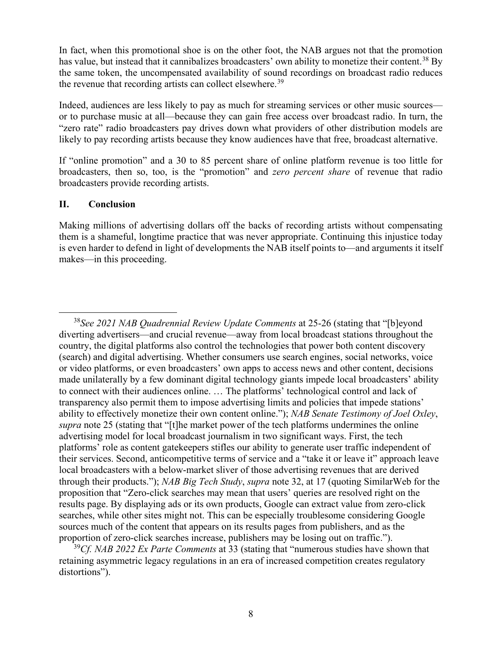In fact, when this promotional shoe is on the other foot, the NAB argues not that the promotion has value, but instead that it cannibalizes broadcasters' own ability to monetize their content.<sup>[38](#page-7-0)</sup> By the same token, the uncompensated availability of sound recordings on broadcast radio reduces the revenue that recording artists can collect elsewhere.<sup>[39](#page-7-1)</sup>

Indeed, audiences are less likely to pay as much for streaming services or other music sources or to purchase music at all—because they can gain free access over broadcast radio. In turn, the "zero rate" radio broadcasters pay drives down what providers of other distribution models are likely to pay recording artists because they know audiences have that free, broadcast alternative.

If "online promotion" and a 30 to 85 percent share of online platform revenue is too little for broadcasters, then so, too, is the "promotion" and *zero percent share* of revenue that radio broadcasters provide recording artists.

## **II. Conclusion**

Making millions of advertising dollars off the backs of recording artists without compensating them is a shameful, longtime practice that was never appropriate. Continuing this injustice today is even harder to defend in light of developments the NAB itself points to—and arguments it itself makes—in this proceeding.

<span id="page-7-1"></span><sup>39</sup>*Cf. NAB 2022 Ex Parte Comments* at 33 (stating that "numerous studies have shown that retaining asymmetric legacy regulations in an era of increased competition creates regulatory distortions").

<span id="page-7-0"></span> <sup>38</sup>*See 2021 NAB Quadrennial Review Update Comments* at 25-26 (stating that "[b]eyond diverting advertisers—and crucial revenue—away from local broadcast stations throughout the country, the digital platforms also control the technologies that power both content discovery (search) and digital advertising. Whether consumers use search engines, social networks, voice or video platforms, or even broadcasters' own apps to access news and other content, decisions made unilaterally by a few dominant digital technology giants impede local broadcasters' ability to connect with their audiences online. … The platforms' technological control and lack of transparency also permit them to impose advertising limits and policies that impede stations' ability to effectively monetize their own content online."); *NAB Senate Testimony of Joel Oxley*, *supra* note [25](#page-4-7) (stating that "[t]he market power of the tech platforms undermines the online advertising model for local broadcast journalism in two significant ways. First, the tech platforms' role as content gatekeepers stifles our ability to generate user traffic independent of their services. Second, anticompetitive terms of service and a "take it or leave it" approach leave local broadcasters with a below-market sliver of those advertising revenues that are derived through their products."); *NAB Big Tech Study*, *supra* note [32,](#page-6-0) at 17 (quoting SimilarWeb for the proposition that "Zero-click searches may mean that users' queries are resolved right on the results page. By displaying ads or its own products, Google can extract value from zero-click searches, while other sites might not. This can be especially troublesome considering Google sources much of the content that appears on its results pages from publishers, and as the proportion of zero-click searches increase, publishers may be losing out on traffic.").